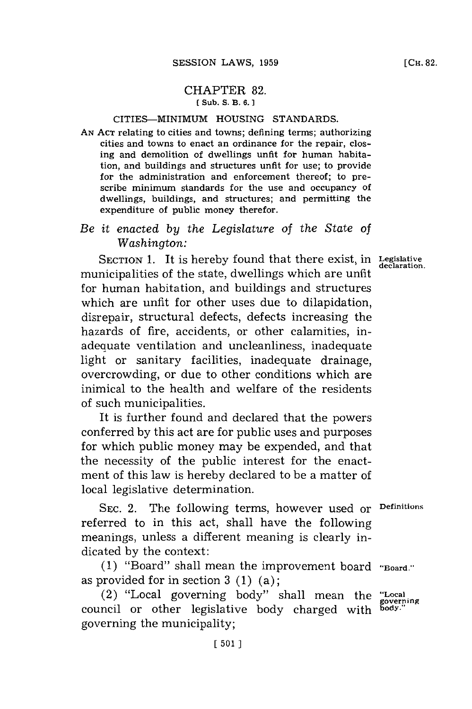## CHAPTER **82. ( Sub. S.** B. **6. 1**

## CITIES-MINIMUM **HOUSING STANDARDS.**

**AN ACT** relating to cities and towns; defining terms; authorizing cities and towns to enact an ordinance for the repair, closing and demolition of dwellings unfit for human habitation, and buildings and structures unfit for use; to provide for the administration and enforcement thereof; to prescribe minimum standards for the use and occupancy of dwellings, buildings, and structures; and permitting the expenditure of public money therefor.

## *Be it enacted by the Legislature of the State of* Washington:

SECTION 1. It is hereby found that there exist, in Legislative declaration. municipalities of the state, dwellings which are unfit for human habitation, and buildings and structures which are unfit for other uses due to dilapidation, disrepair, structural defects, defects increasing the hazards of fire, accidents, or other calamities, inadequate ventilation and uncleanliness, inadequate light or sanitary facilities, inadequate drainage, overcrowding, or due to other conditions which are inimical to the health and welfare of the residents of such municipalities.

It is further found and declared that the powers conferred **by** this act are for public uses and purposes for which public money may be expended, and that the necessity of the public interest for the enactment of this law is hereby declared to be a matter of local legislative determination.

**SEC.** 2. The following terms, however used or **Definitions** referred to in this act, shall have the following meanings, unless a different meaning is clearly indicated **by** the context:

**(1)** "Board" shall mean the improvement board **"Board.'** as provided **for** in section **3 (1)** (a);

(2) "Local governing body" shall mean the "Local governing" body" shall mean the "Local" council or other legislative body charged with governing the municipality;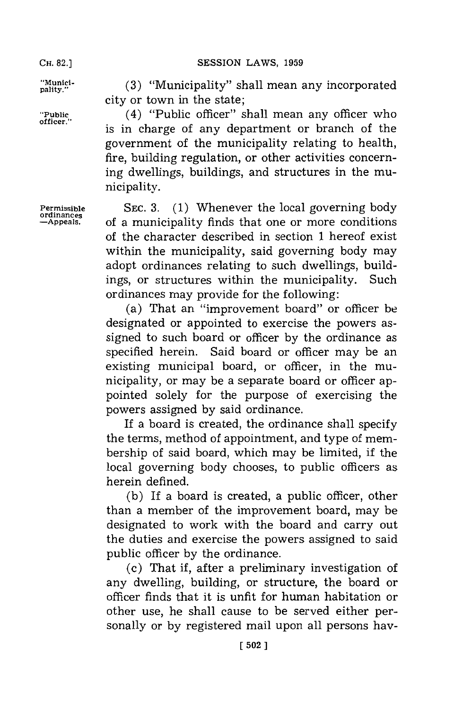**CH. 82.]**

pality." **(3)** "Municipality" shall mean any incorporated city or town in the state;

**"Public,** (4) "Public officer" shall mean any officer who is in charge of any department or branch of the government of the municipality relating to health, fire, building regulation, or other activities concerning dwellings, buildings, and structures in the municipality.

**Permissible** SEC. **3. (1)** Whenever the local governing body **ordinances** of a municipality finds that one or more conditions of the character described in section **1** hereof exist within the municipality, said governing body may adopt ordinances relating to such dwellings, buildings, or structures within the municipality. Such ordinances may provide for the following:

(a) That an "improvement board" or officer be designated or appointed to exercise the powers assigned to such board or officer **by** the ordinance as specified herein. Said board or officer may be an existing municipal board, or officer, in the municipality, or may be a separate board or officer appointed solely for the purpose of exercising the powers assigned **by** said ordinance.

If a board is created, the ordinance shall specify the terms, method of appointment, and type of membership of said board, which may be limited, if the local governing body chooses, to public officers as herein defined.

**(b)** If a board is created, a public officer, other than a member of the improvement board, may be designated to work with the board and carry out the duties and exercise the powers assigned to said public officer **by** the ordinance.

(c) That if, after a preliminary investigation of any dwelling, building, or structure, the board or officer finds that it is unfit for human habitation or other use, he shall cause to be served either personally or **by** registered mail upon all persons hay-

**[ 502]1**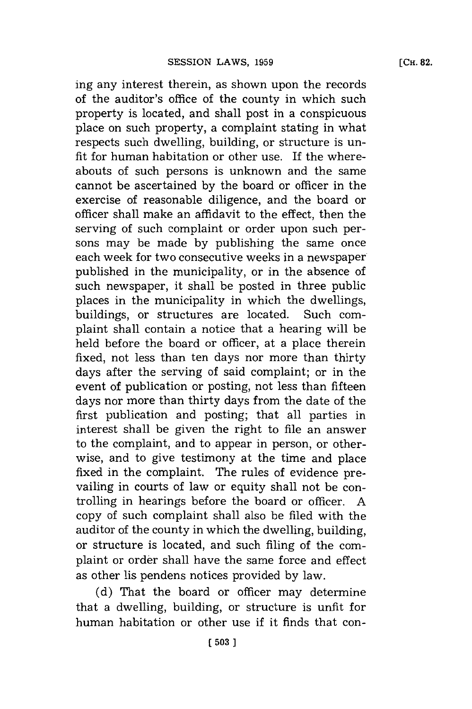ing any interest therein, as shown upon the records of the auditor's office of the county in which such property is located, and shall post in a conspicuous place on such property, a complaint stating in what respects such dwelling, building, or structure is unfit for human habitation or other use. If the whereabouts of such persons is unknown and the same cannot be ascertained **by** the board or officer in the exercise of reasonable diligence, and the board or officer shall make an affidavit to the effect, then the serving of such complaint or order upon such persons may be made **by** publishing the same once each week for two consecutive weeks in a newspaper published in the municipality, or in the absence of such newspaper, it shall be posted in three public places in the municipality in which the dwellings, buildings, or structures are located. Such complaint shall contain a notice that a hearing will be held before the board or officer, at a place therein fixed, not less than ten days nor more than thirty days after the serving of said complaint; or in the event of publication or posting, not less than fifteen days nor more than thirty days from the date of the first publication and posting; that all parties in interest shall be given the right to file an answer to the complaint, and to appear in person, or otherwise, and to give testimony at the time and place fixed in the complaint. The rules of evidence prevailing in courts of law or equity shall not be controlling in hearings before the board or officer. **A** copy of such complaint shall also be filed with the auditor of the county in which the dwelling, building, or structure is located, and such filing of the complaint or order shall have the same force and effect as other lis pendens notices provided **by** law.

**(d)** That the board or officer may determine that a dwelling, building, or structure is unfit for human habitation or other use if it finds that con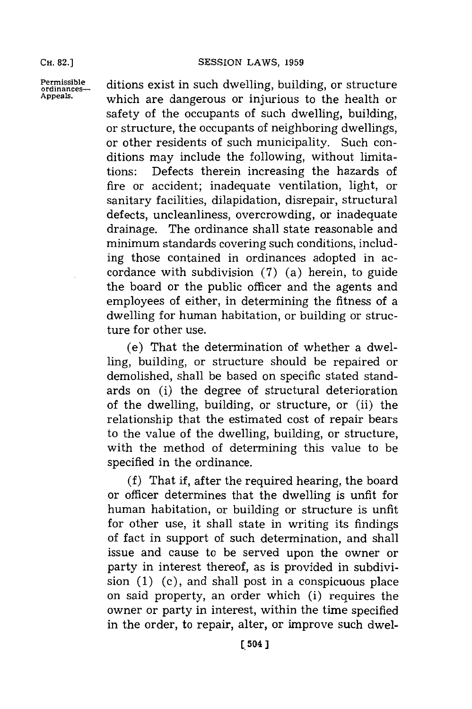**CH. 82.]**

**Permissible** ditions exist in such dwelling, building, or structure or appeals. which are dangerous or injurious to the health or safety of the occupants of such dwelling, building, or structure, the occupants of neighboring dwellings, or other residents of such municipality. Such conditions may include the following, without limitations: Defects therein increasing the hazards of fire or accident; inadequate ventilation, light, or sanitary facilities, dilapidation, disrepair, structural defects, uncleanliness, overcrowding, or inadequate drainage. The ordinance shall state reasonable and minimum standards covering such conditions, including those contained in ordinances adopted in accordance with subdivision **(7)** (a) herein, to guide the board or the public officer and the agents and employees of either, in determining the fitness of a dwelling for human habitation, or building or structure for other use.

> (e) That the determination of whether a dwelling, building, or structure should be repaired or demolished, shall be based on specific stated standards on (i) the degree of structural deterioration of the dwelling, building, or structure, or (ii) the relationship that the estimated cost of repair bears to the value of the dwelling, building, or structure, with the method of determining this value to be specified in the ordinance.

> **(f)** That if, after the required hearing, the board or officer determines that the dwelling is unfit for human habitation, or building or structure is unfit for other use, it shall state in writing its findings of fact in support of such determination, and shall issue and cause to be served upon the owner or party in interest thereof, as is provided in subdivision **(1)** (c), and shall post in a conspicuous place on said property, an order which (i) requires the owner or party in interest, within the time specified in the order, to repair, alter, or improve such dwel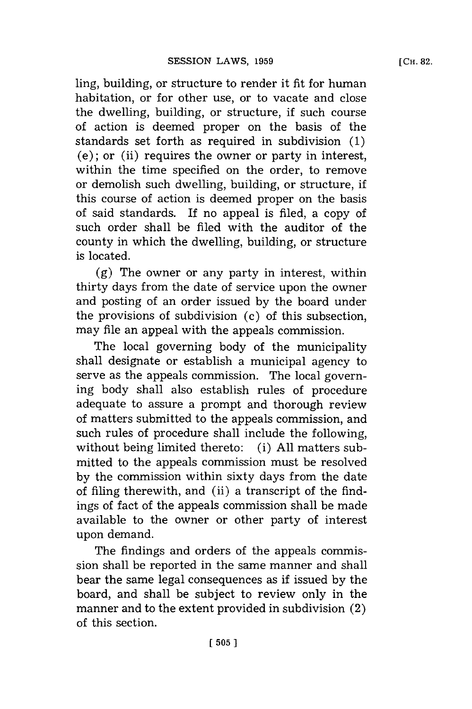ling, building, or structure to render it fit for human habitation, or for other use, or to vacate and close the dwelling, building, or structure, if such course of action is deemed proper on the basis of the standards set forth as required in subdivision **(1)**  $(e)$ ; or (ii) requires the owner or party in interest, within the time specified on the order, to remove or demolish such dwelling, building, or structure, if this course of action is deemed proper on the basis of said standards. If no appeal is filed, a copy of such order shall be filed with the auditor of the county in which the dwelling, building, or structure is located.

**(g)** The owner or any party in interest, within thirty days from the date of service upon the owner and posting of an order issued **by** the board under the provisions of subdivision (c) of this subsection, may file an appeal with the appeals commission.

The local governing body of the municipality shall designate or establish a municipal agency to serve as the appeals commission. The local governing body shall also establish rules of procedure adequate to assure a prompt and thorough review of matters submitted to the appeals commission, and such rules of procedure shall include the following, without being limited thereto: (i) **All** matters submitted to the appeals commission must be resolved **by** the commission within sixty days from the date of filing therewith, and (ii) a transcript of the findings of fact of the appeals commission shall be made available to the owner or other party of interest upon demand.

The findings and orders of the appeals commission shall be reported in the same manner and shall bear the same legal consequences as if issued **by** the board, and shall be subject to review only in the manner and to the extent provided in subdivision (2) of this section.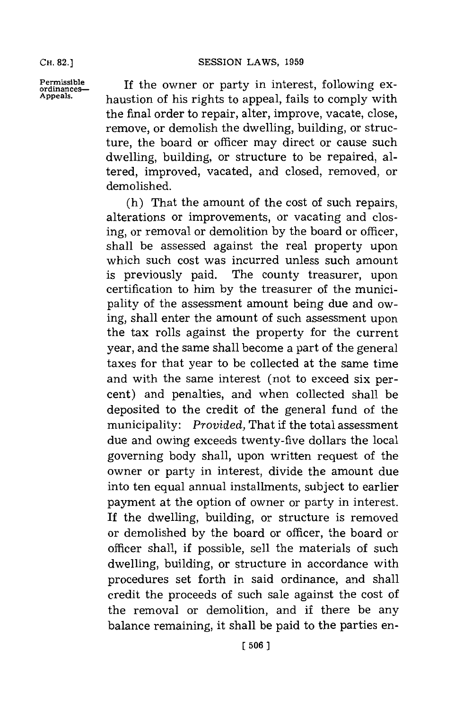**CH. 82.]**

Permissible If the owner or party in interest, following ex-**Appeals.** haustion of his rights to appeal, fails to comply with the final order to repair, alter, improve, vacate, close, remove, or demolish the dwelling, building, or structure, the board or officer may direct or cause such dwelling, building, or structure to be repaired, altered, improved, vacated, and closed, removed, or demolished.

> (h) That the amount of the cost of such repairs, alterations or improvements, or vacating and closing, or removal or demolition **by** the board or officer, shall be assessed against the real property upon which such cost was incurred unless such amount is previously paid. The county treasurer, upon certification to him **by** the treasurer of the municipality of the assessment amount being due and owing, shall enter the amount of such assessment upon the tax rolls against the property for the current year, and the same shall become a part of the general taxes for that year to be collected at the same time and with the same interest (not to exceed six percent) and penalties, and when collected shall be deposited to the credit of the general fund of the municipality: *Provided,* That if the total assessment due and owing exceeds twenty-five dollars the local governing body shall, upon written request of the owner or party in interest, divide the amount due into ten equal annual installments, subject to earlier payment at the option of owner or party in interest. If the dwelling, building, or structure is removed or demolished **by** the board or officer, the board or officer shall, if possible, sell the materials of such dwelling, building, or structure in accordance with procedures set forth in said ordinance, and shall credit the proceeds of such sale against the cost of the removal or demolition, and if there be any balance remaining, it shall be paid to the parties en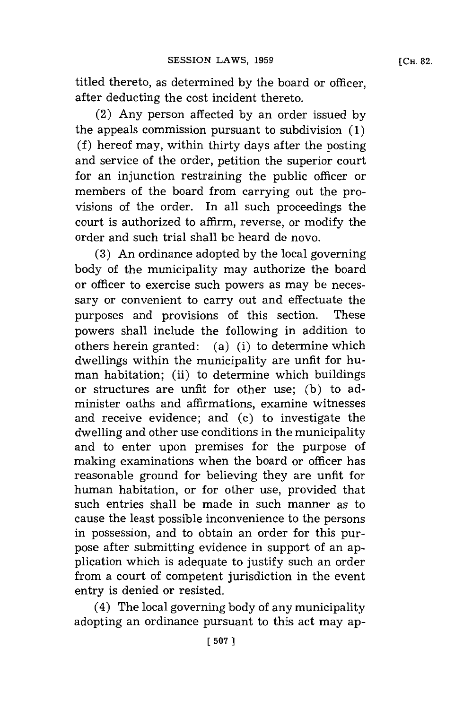titled thereto, as determined **by** the board or officer, after deducting the cost incident thereto.

(2) Any person affected **by** an order issued **by** the appeals commission pursuant to subdivision **(1) (f)** hereof may, within thirty days after the posting and service of the order, petition the superior court for an injunction restraining the public officer or members of the board from carrying out the provisions of the order. In all such proceedings the court is authorized to affirm, reverse, or modify the order and such trial shall be heard de novo.

**(3)** An ordinance adopted **by** the local governing body of the municipality may authorize the board or officer to exercise such powers as may be necessary or convenient to carry out and effectuate the purposes and provisions of this section. These powers shall include the following in addition to others herein granted: (a) (i) to determine which dwellings within the municipality are unfit for human habitation; (ii) to determine which buildings or structures are unfit for other use; **(b)** to administer oaths and affirmations, examine witnesses and receive evidence; and (c) to investigate the dwelling and other use conditions in the municipality and to enter upon premises for the purpose of making examinations when the board or officer has reasonable ground for believing they are unfit for human habitation, or for other use, provided that such entries shall be made in such manner as to cause the least possible inconvenience to the persons in possession, and to obtain an order for this purpose after submitting evidence in support of an application which is adequate to justify such an order from a court of competent jurisdiction in the event entry is denied or resisted.

(4) The local governing body of any municipality adopting an ordinance pursuant to this act may ap-